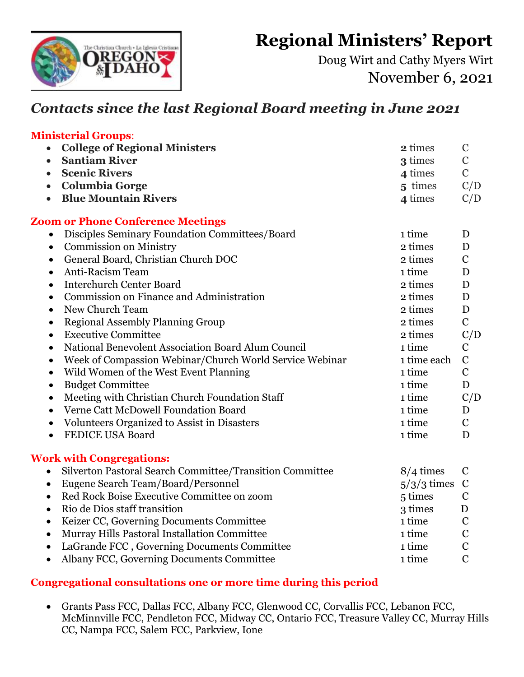**Regional Ministers' Report** 



Doug Wirt and Cathy Myers Wirt November 6, 2021

## *Contacts since the last Regional Board meeting in June 2021*

## **Ministerial Groups**: • **College of Regional Ministers 2** times C • **Santiam River** 2 **Santiam River** C • **Scenic Rivers 4** times C • **Columbia Gorge** 5 times  $C/D$ • **Blue Mountain Rivers 4** times  $C/D$ **Zoom or Phone Conference Meetings** • Disciples Seminary Foundation Committees/Board 1 time D • Commission on Ministry 2 times D • General Board, Christian Church DOC 2 times C • Anti-Racism Team 1 time D • Interchurch Center Board 2 times D • Commission on Finance and Administration 2 times D • New Church Team 2 times D • Regional Assembly Planning Group 2 times C • Executive Committee 2 times C/D • National Benevolent Association Board Alum Council 2008 1 time C • Week of Compassion Webinar/Church World Service Webinar 1 time each C • Wild Women of the West Event Planning 1 time C • Budget Committee D • Meeting with Christian Church Foundation Staff 1 time C/D • Verne Catt McDowell Foundation Board 1 time D • Volunteers Organized to Assist in Disasters 1 time C • FEDICE USA Board **1** time D **Work with Congregations:** • Silverton Pastoral Search Committee/Transition Committee 8/4 times C • Eugene Search Team/Board/Personnel 5/3/3 times C  $R_{\text{e}}$  Rock Roise Executive Committee on zoom  $5$  times C

| The Theory Duble Laterative Committee on Zoom  | $\sim$  | $\overline{\phantom{a}}$ |
|------------------------------------------------|---------|--------------------------|
| • Rio de Dios staff transition                 | 3 times | D                        |
| • Keizer CC, Governing Documents Committee     | 1 time  | C                        |
| • Murray Hills Pastoral Installation Committee | 1 time  | C                        |
| • LaGrande FCC, Governing Documents Committee  | 1 time  | C                        |
| • Albany FCC, Governing Documents Committee    | 1 time  | C                        |

## **Congregational consultations one or more time during this period**

• Grants Pass FCC, Dallas FCC, Albany FCC, Glenwood CC, Corvallis FCC, Lebanon FCC, McMinnville FCC, Pendleton FCC, Midway CC, Ontario FCC, Treasure Valley CC, Murray Hills CC, Nampa FCC, Salem FCC, Parkview, Ione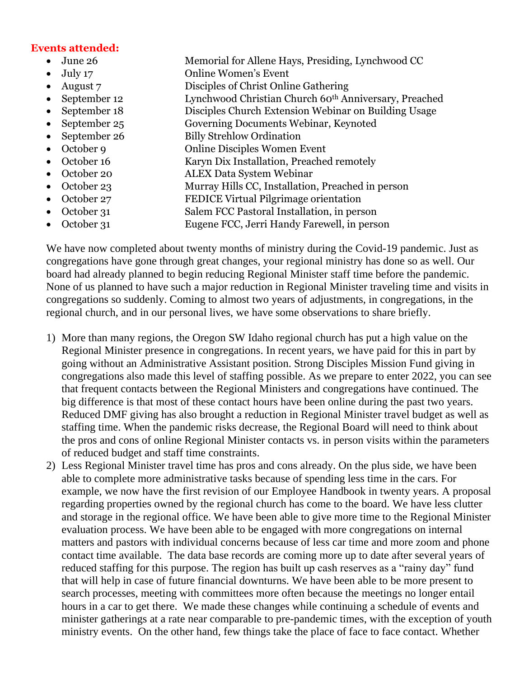## **Events attended:**

- 
- 
- 
- 
- 
- 
- 
- 
- 
- 
- 
- 
- 
- 
- June 26 Memorial for Allene Hays, Presiding, Lynchwood CC
- July 17 Online Women's Event
- August 7 Disciples of Christ Online Gathering
- September 12 Lynchwood Christian Church 60<sup>th</sup> Anniversary, Preached
- September 18 Disciples Church Extension Webinar on Building Usage
- September 25 Governing Documents Webinar, Keynoted
- September 26 Billy Strehlow Ordination
- October 9 Online Disciples Women Event
- October 16 Karyn Dix Installation, Preached remotely
- October 20 ALEX Data System Webinar
- October 23 Murray Hills CC, Installation, Preached in person
- October 27 FEDICE Virtual Pilgrimage orientation
- October 31 Salem FCC Pastoral Installation, in person
- October 31 Eugene FCC, Jerri Handy Farewell, in person

We have now completed about twenty months of ministry during the Covid-19 pandemic. Just as congregations have gone through great changes, your regional ministry has done so as well. Our board had already planned to begin reducing Regional Minister staff time before the pandemic. None of us planned to have such a major reduction in Regional Minister traveling time and visits in congregations so suddenly. Coming to almost two years of adjustments, in congregations, in the regional church, and in our personal lives, we have some observations to share briefly.

- 1) More than many regions, the Oregon SW Idaho regional church has put a high value on the Regional Minister presence in congregations. In recent years, we have paid for this in part by going without an Administrative Assistant position. Strong Disciples Mission Fund giving in congregations also made this level of staffing possible. As we prepare to enter 2022, you can see that frequent contacts between the Regional Ministers and congregations have continued. The big difference is that most of these contact hours have been online during the past two years. Reduced DMF giving has also brought a reduction in Regional Minister travel budget as well as staffing time. When the pandemic risks decrease, the Regional Board will need to think about the pros and cons of online Regional Minister contacts vs. in person visits within the parameters of reduced budget and staff time constraints.
- 2) Less Regional Minister travel time has pros and cons already. On the plus side, we have been able to complete more administrative tasks because of spending less time in the cars. For example, we now have the first revision of our Employee Handbook in twenty years. A proposal regarding properties owned by the regional church has come to the board. We have less clutter and storage in the regional office. We have been able to give more time to the Regional Minister evaluation process. We have been able to be engaged with more congregations on internal matters and pastors with individual concerns because of less car time and more zoom and phone contact time available. The data base records are coming more up to date after several years of reduced staffing for this purpose. The region has built up cash reserves as a "rainy day" fund that will help in case of future financial downturns. We have been able to be more present to search processes, meeting with committees more often because the meetings no longer entail hours in a car to get there. We made these changes while continuing a schedule of events and minister gatherings at a rate near comparable to pre-pandemic times, with the exception of youth ministry events. On the other hand, few things take the place of face to face contact. Whether